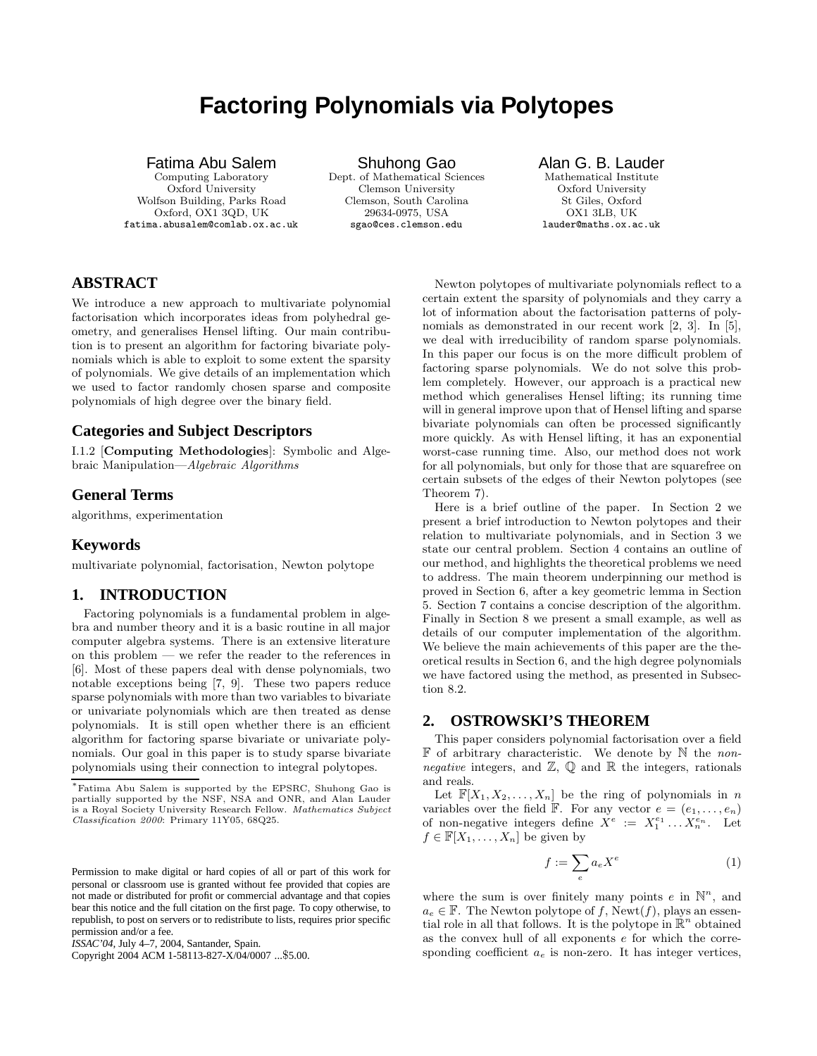# **Factoring Polynomials via Polytopes**

#### Fatima Abu Salem

Computing Laboratory Oxford University Wolfson Building, Parks Road Oxford, OX1 3QD, UK fatima.abusalem@comlab.ox.ac.uk

Shuhong Gao Dept. of Mathematical Sciences Clemson University Clemson, South Carolina 29634-0975, USA sgao@ces.clemson.edu

Alan G. B. Lauder Mathematical Institute Oxford University St Giles, Oxford OX1 3LB, UK lauder@maths.ox.ac.uk

## **ABSTRACT**

We introduce a new approach to multivariate polynomial factorisation which incorporates ideas from polyhedral geometry, and generalises Hensel lifting. Our main contribution is to present an algorithm for factoring bivariate polynomials which is able to exploit to some extent the sparsity of polynomials. We give details of an implementation which we used to factor randomly chosen sparse and composite polynomials of high degree over the binary field.

#### **Categories and Subject Descriptors**

I.1.2 [**Computing Methodologies**]: Symbolic and Algebraic Manipulation—Algebraic Algorithms

## **General Terms**

algorithms, experimentation

## **Keywords**

multivariate polynomial, factorisation, Newton polytope

## **1. INTRODUCTION**

Factoring polynomials is a fundamental problem in algebra and number theory and it is a basic routine in all major computer algebra systems. There is an extensive literature on this problem — we refer the reader to the references in [6]. Most of these papers deal with dense polynomials, two notable exceptions being [7, 9]. These two papers reduce sparse polynomials with more than two variables to bivariate or univariate polynomials which are then treated as dense polynomials. It is still open whether there is an efficient algorithm for factoring sparse bivariate or univariate polynomials. Our goal in this paper is to study sparse bivariate polynomials using their connection to integral polytopes.

Copyright 2004 ACM 1-58113-827-X/04/0007 ...\$5.00.

Newton polytopes of multivariate polynomials reflect to a certain extent the sparsity of polynomials and they carry a lot of information about the factorisation patterns of polynomials as demonstrated in our recent work [2, 3]. In [5], we deal with irreducibility of random sparse polynomials. In this paper our focus is on the more difficult problem of factoring sparse polynomials. We do not solve this problem completely. However, our approach is a practical new method which generalises Hensel lifting; its running time will in general improve upon that of Hensel lifting and sparse bivariate polynomials can often be processed significantly more quickly. As with Hensel lifting, it has an exponential worst-case running time. Also, our method does not work for all polynomials, but only for those that are squarefree on certain subsets of the edges of their Newton polytopes (see Theorem 7).

Here is a brief outline of the paper. In Section 2 we present a brief introduction to Newton polytopes and their relation to multivariate polynomials, and in Section 3 we state our central problem. Section 4 contains an outline of our method, and highlights the theoretical problems we need to address. The main theorem underpinning our method is proved in Section 6, after a key geometric lemma in Section 5. Section 7 contains a concise description of the algorithm. Finally in Section 8 we present a small example, as well as details of our computer implementation of the algorithm. We believe the main achievements of this paper are the theoretical results in Section 6, and the high degree polynomials we have factored using the method, as presented in Subsection 8.2.

#### **2. OSTROWSKI'S THEOREM**

This paper considers polynomial factorisation over a field  $\mathbb F$  of arbitrary characteristic. We denote by  $\mathbb N$  the non*negative* integers, and  $\mathbb{Z}, \mathbb{Q}$  and  $\mathbb{R}$  the integers, rationals and reals.

Let  $\mathbb{F}[X_1, X_2, \ldots, X_n]$  be the ring of polynomials in n variables over the field  $\mathbb{F}$ . For any vector  $e = (e_1, \ldots, e_n)$ of non-negative integers define  $X^e := X_1^{e_1} \dots X_n^{e_n}$ . Let  $f \in \mathbb{F}[X_1,\ldots,X_n]$  be given by

$$
f := \sum_{e} a_e X^e \tag{1}
$$

where the sum is over finitely many points e in  $\mathbb{N}^n$ , and  $a_e \in \mathbb{F}$ . The Newton polytope of f, Newt(f), plays an essential role in all that follows. It is the polytope in  $\mathbb{R}^n$  obtained as the convex hull of all exponents e for which the corresponding coefficient  $a_e$  is non-zero. It has integer vertices,

<sup>∗</sup>Fatima Abu Salem is supported by the EPSRC, Shuhong Gao is partially supported by the NSF, NSA and ONR, and Alan Lauder is a Royal Society University Research Fellow. Mathematics Subject Classification 2000: Primary 11Y05, 68Q25.

Permission to make digital or hard copies of all or part of this work for personal or classroom use is granted without fee provided that copies are not made or distributed for profit or commercial advantage and that copies bear this notice and the full citation on the first page. To copy otherwise, to republish, to post on servers or to redistribute to lists, requires prior specific permission and/or a fee.

*ISSAC'04,* July 4–7, 2004, Santander, Spain.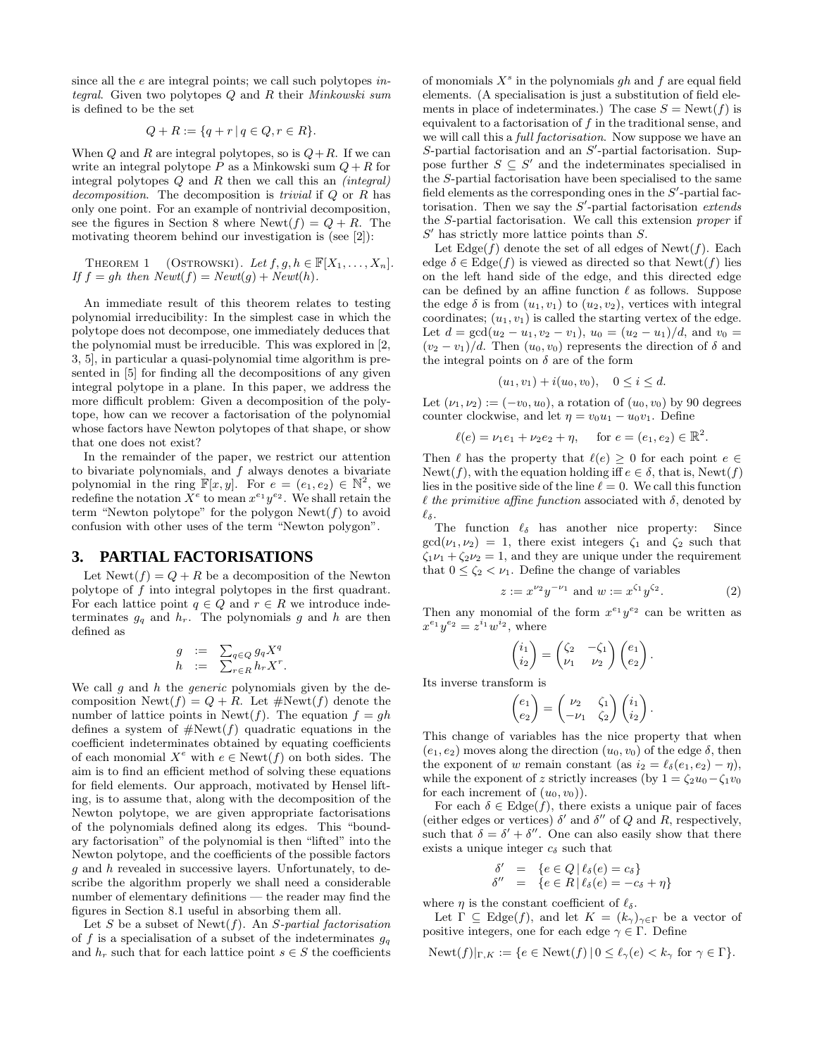since all the e are integral points; we call such polytopes integral. Given two polytopes  $Q$  and  $R$  their Minkowski sum is defined to be the set

$$
Q + R := \{ q + r \, | \, q \in Q, r \in R \}.
$$

When  $Q$  and  $R$  are integral polytopes, so is  $Q + R$ . If we can write an integral polytope  $P$  as a Minkowski sum  $Q + R$  for integral polytopes  $Q$  and  $R$  then we call this an *(integral)* decomposition. The decomposition is *trivial* if  $Q$  or  $R$  has only one point. For an example of nontrivial decomposition, see the figures in Section 8 where  $\text{Newt}(f) = Q + R$ . The motivating theorem behind our investigation is (see [2]):

THEOREM 1 (OSTROWSKI). Let 
$$
f, g, h \in \mathbb{F}[X_1, ..., X_n]
$$
.  
If  $f = gh$  then  $Newt(f) = Newt(g) + Newt(h)$ .

An immediate result of this theorem relates to testing polynomial irreducibility: In the simplest case in which the polytope does not decompose, one immediately deduces that the polynomial must be irreducible. This was explored in [2, 3, 5], in particular a quasi-polynomial time algorithm is presented in [5] for finding all the decompositions of any given integral polytope in a plane. In this paper, we address the more difficult problem: Given a decomposition of the polytope, how can we recover a factorisation of the polynomial whose factors have Newton polytopes of that shape, or show that one does not exist?

In the remainder of the paper, we restrict our attention to bivariate polynomials, and  $f$  always denotes a bivariate polynomial in the ring  $\mathbb{F}[x,y]$ . For  $e = (e_1, e_2) \in \mathbb{N}^2$ , we redefine the notation  $X^e$  to mean  $x^{e_1}y^{e_2}$ . We shall retain the term "Newton polytope" for the polygon  $\text{Newt}(f)$  to avoid confusion with other uses of the term "Newton polygon".

#### **3. PARTIAL FACTORISATIONS**

Let  $\text{Newt}(f) = Q + R$  be a decomposition of the Newton polytope of f into integral polytopes in the first quadrant. For each lattice point  $q \in Q$  and  $r \in R$  we introduce indeterminates  $g_q$  and  $h_r$ . The polynomials g and h are then defined as

$$
\begin{array}{rcl} g & := & \sum_{q \in Q} g_q X^q \\ h & := & \sum_{r \in R} h_r X^r. \end{array}
$$

We call  $g$  and  $h$  the *generic* polynomials given by the decomposition  $\text{Newt}(f) = Q + R$ . Let  $\# \text{Newt}(f)$  denote the number of lattice points in Newt(f). The equation  $f = gh$ defines a system of  $\#Newt(f)$  quadratic equations in the coefficient indeterminates obtained by equating coefficients of each monomial  $X^e$  with  $e \in \text{Newt}(f)$  on both sides. The aim is to find an efficient method of solving these equations for field elements. Our approach, motivated by Hensel lifting, is to assume that, along with the decomposition of the Newton polytope, we are given appropriate factorisations of the polynomials defined along its edges. This "boundary factorisation" of the polynomial is then "lifted" into the Newton polytope, and the coefficients of the possible factors g and h revealed in successive layers. Unfortunately, to describe the algorithm properly we shall need a considerable number of elementary definitions — the reader may find the figures in Section 8.1 useful in absorbing them all.

Let S be a subset of Newt $(f)$ . An S-partial factorisation of f is a specialisation of a subset of the indeterminates  $g_q$ and  $h_r$  such that for each lattice point  $s \in S$  the coefficients of monomials  $X^s$  in the polynomials gh and f are equal field elements. (A specialisation is just a substitution of field elements in place of indeterminates.) The case  $S = \text{Newt}(f)$  is equivalent to a factorisation of f in the traditional sense, and we will call this a *full factorisation*. Now suppose we have an  $S$ -partial factorisation and an  $S'$ -partial factorisation. Suppose further  $S \subseteq S'$  and the indeterminates specialised in the S-partial factorisation have been specialised to the same field elements as the corresponding ones in the  $S'$ -partial factorisation. Then we say the  $S'$ -partial factorisation extends the S-partial factorisation. We call this extension proper if  $S'$  has strictly more lattice points than  $S$ .

Let  $\text{Edge}(f)$  denote the set of all edges of  $\text{Newt}(f)$ . Each edge  $\delta \in \text{Edge}(f)$  is viewed as directed so that  $\text{Newt}(f)$  lies on the left hand side of the edge, and this directed edge can be defined by an affine function  $\ell$  as follows. Suppose the edge  $\delta$  is from  $(u_1, v_1)$  to  $(u_2, v_2)$ , vertices with integral coordinates;  $(u_1, v_1)$  is called the starting vertex of the edge. Let  $d = \gcd(u_2 - u_1, v_2 - v_1), u_0 = (u_2 - u_1)/d$ , and  $v_0 =$  $(v_2 - v_1)/d$ . Then  $(u_0, v_0)$  represents the direction of  $\delta$  and the integral points on  $\delta$  are of the form

$$
(u_1, v_1) + i(u_0, v_0), \quad 0 \le i \le d.
$$

Let  $(\nu_1, \nu_2) := (-v_0, u_0)$ , a rotation of  $(u_0, v_0)$  by 90 degrees counter clockwise, and let  $\eta = v_0u_1 - u_0v_1$ . Define

 $\ell(e) = \nu_1 e_1 + \nu_2 e_2 + \eta$ , for  $e = (e_1, e_2) \in \mathbb{R}^2$ .

Then  $\ell$  has the property that  $\ell(e) \geq 0$  for each point  $e \in$ Newt(f), with the equation holding iff  $e \in \delta$ , that is, Newt(f) lies in the positive side of the line  $\ell = 0$ . We call this function  $\ell$  the primitive affine function associated with  $\delta$ , denoted by  $\ell_{\delta}.$ 

The function  $\ell_{\delta}$  has another nice property: Since  $gcd(\nu_1, \nu_2) = 1$ , there exist integers  $\zeta_1$  and  $\zeta_2$  such that  $\zeta_1 \nu_1 + \zeta_2 \nu_2 = 1$ , and they are unique under the requirement that  $0 \le \zeta_2 < \nu_1$ . Define the change of variables

$$
z := x^{\nu_2} y^{-\nu_1} \text{ and } w := x^{\zeta_1} y^{\zeta_2}.
$$
 (2)

Then any monomial of the form  $x^{e_1}y^{e_2}$  can be written as  $x^{e_1}y^{e_2} = z^{i_1}w^{i_2}$ , where

$$
\begin{pmatrix} i_1 \\ i_2 \end{pmatrix} = \begin{pmatrix} \zeta_2 & -\zeta_1 \\ \nu_1 & \nu_2 \end{pmatrix} \begin{pmatrix} e_1 \\ e_2 \end{pmatrix}.
$$

Its inverse transform is

$$
\begin{pmatrix} e_1 \\ e_2 \end{pmatrix} = \begin{pmatrix} \nu_2 & \zeta_1 \\ -\nu_1 & \zeta_2 \end{pmatrix} \begin{pmatrix} i_1 \\ i_2 \end{pmatrix}.
$$

This change of variables has the nice property that when  $(e_1, e_2)$  moves along the direction  $(u_0, v_0)$  of the edge  $\delta$ , then the exponent of w remain constant (as  $i_2 = \ell_{\delta}(e_1, e_2) - \eta$ ), while the exponent of z strictly increases (by  $1 = \zeta_2 u_0 - \zeta_1 v_0$ for each increment of  $(u_0, v_0)$ .

For each  $\delta \in \text{Edge}(f)$ , there exists a unique pair of faces (either edges or vertices)  $\delta'$  and  $\delta''$  of Q and R, respectively, such that  $\delta = \delta' + \delta''$ . One can also easily show that there exists a unique integer  $c_{\delta}$  such that

$$
\begin{array}{rcl}\n\delta' & = & \{e \in Q \mid \ell_{\delta}(e) = c_{\delta}\} \\
\delta'' & = & \{e \in R \mid \ell_{\delta}(e) = -c_{\delta} + \eta\}\n\end{array}
$$

where  $\eta$  is the constant coefficient of  $\ell_{\delta}$ .

Let  $\Gamma \subseteq \text{Edge}(f)$ , and let  $K = (k_{\gamma})_{\gamma \in \Gamma}$  be a vector of positive integers, one for each edge  $\gamma \in \Gamma$ . Define

 $\text{Newt}(f)|_{\Gamma,K} := \{e \in \text{Newt}(f) \, | \, 0 \leq \ell_{\gamma}(e) < k_{\gamma} \text{ for } \gamma \in \Gamma\}.$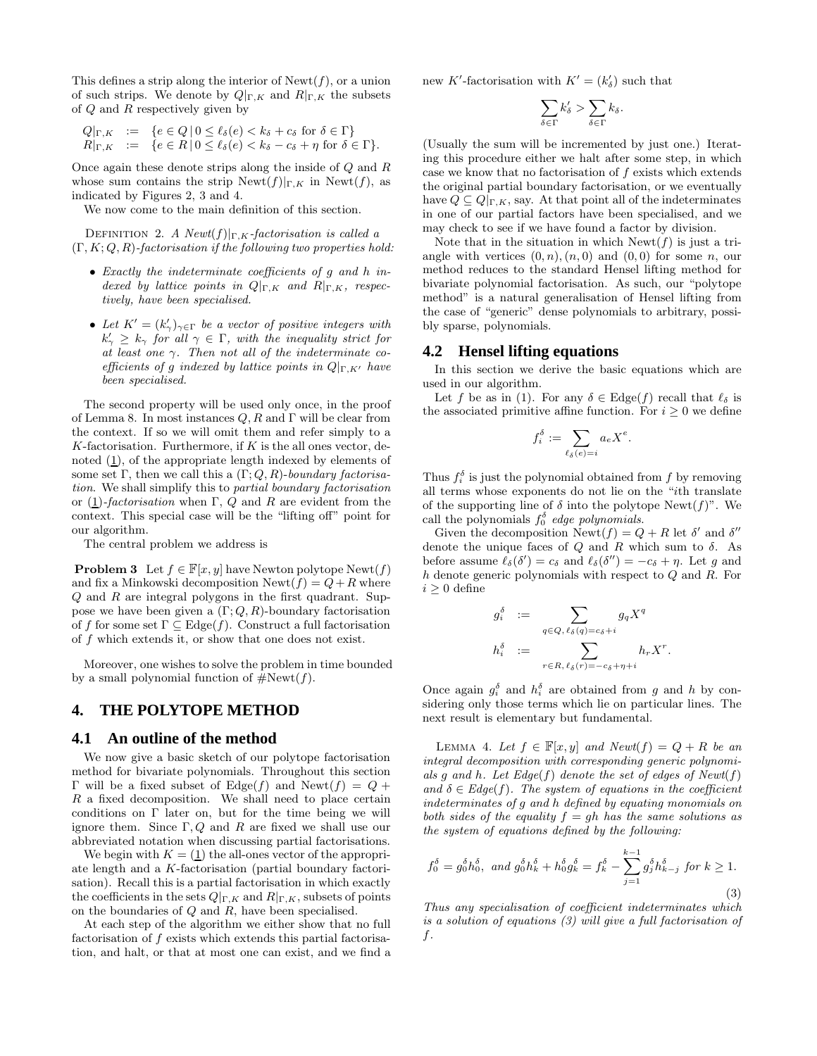This defines a strip along the interior of  $\text{Newt}(f)$ , or a union of such strips. We denote by  $Q|_{\Gamma,K}$  and  $R|_{\Gamma,K}$  the subsets of Q and R respectively given by

$$
Q|_{\Gamma,K} := \{ e \in Q \mid 0 \le \ell_{\delta}(e) < k_{\delta} + c_{\delta} \text{ for } \delta \in \Gamma \}
$$
\n
$$
R|_{\Gamma,K} := \{ e \in R \mid 0 \le \ell_{\delta}(e) < k_{\delta} - c_{\delta} + \eta \text{ for } \delta \in \Gamma \}.
$$

Once again these denote strips along the inside of Q and R whose sum contains the strip  $\text{Newt}(f)|_{\Gamma,K}$  in  $\text{Newt}(f)$ , as indicated by Figures 2, 3 and 4.

We now come to the main definition of this section.

DEFINITION 2. A  $Newt(f)|_{\Gamma,K}$ -factorisation is called a  $(\Gamma, K; Q, R)$ -factorisation if the following two properties hold:

- Exactly the indeterminate coefficients of g and h indexed by lattice points in  $Q|_{\Gamma,K}$  and  $R|_{\Gamma,K}$ , respectively, have been specialised.
- Let  $K' = (k'_{\gamma})_{\gamma \in \Gamma}$  be a vector of positive integers with  $k'_\gamma \geq k_\gamma$  for all  $\gamma \in \Gamma$ , with the inequality strict for at least one  $\gamma$ . Then not all of the indeterminate coefficients of g indexed by lattice points in  $Q|_{\Gamma,K'}$  have been specialised.

The second property will be used only once, in the proof of Lemma 8. In most instances  $Q, R$  and  $\Gamma$  will be clear from the context. If so we will omit them and refer simply to a  $K$ -factorisation. Furthermore, if  $K$  is the all ones vector, denoted  $(1)$ , of the appropriate length indexed by elements of some set Γ, then we call this a  $(\Gamma; Q, R)$ -boundary factorisation. We shall simplify this to partial boundary factorisation or (1)-factorisation when  $\Gamma$ , Q and R are evident from the context. This special case will be the "lifting off" point for our algorithm.

The central problem we address is

**Problem 3** Let  $f \in \mathbb{F}[x, y]$  have Newton polytope Newt $(f)$ and fix a Minkowski decomposition  $\text{Newt}(f) = Q + R$  where Q and R are integral polygons in the first quadrant. Suppose we have been given a  $(\Gamma; Q, R)$ -boundary factorisation of f for some set  $\Gamma \subset \text{Edge}(f)$ . Construct a full factorisation of f which extends it, or show that one does not exist.

Moreover, one wishes to solve the problem in time bounded by a small polynomial function of  $\#Newt(f)$ .

#### **4. THE POLYTOPE METHOD**

#### **4.1 An outline of the method**

We now give a basic sketch of our polytope factorisation method for bivariate polynomials. Throughout this section Γ will be a fixed subset of Edge(f) and Newt(f) =  $Q$  +  $R$  a fixed decomposition. We shall need to place certain conditions on Γ later on, but for the time being we will ignore them. Since  $\Gamma, Q$  and R are fixed we shall use our abbreviated notation when discussing partial factorisations.

We begin with  $K = (1)$  the all-ones vector of the appropriate length and a K-factorisation (partial boundary factorisation). Recall this is a partial factorisation in which exactly the coefficients in the sets  $Q|_{\Gamma,K}$  and  $R|_{\Gamma,K}$ , subsets of points on the boundaries of  $Q$  and  $R$ , have been specialised.

At each step of the algorithm we either show that no full factorisation of f exists which extends this partial factorisation, and halt, or that at most one can exist, and we find a

new K'-factorisation with  $K' = (k'_{\delta})$  such that

$$
\sum_{\delta \in \Gamma} k_{\delta}' > \sum_{\delta \in \Gamma} k_{\delta}.
$$

(Usually the sum will be incremented by just one.) Iterating this procedure either we halt after some step, in which case we know that no factorisation of f exists which extends the original partial boundary factorisation, or we eventually have  $Q \subseteq Q|_{\Gamma,K}$ , say. At that point all of the indeterminates in one of our partial factors have been specialised, and we may check to see if we have found a factor by division.

Note that in the situation in which  $\text{Newt}(f)$  is just a triangle with vertices  $(0, n), (n, 0)$  and  $(0, 0)$  for some n, our method reduces to the standard Hensel lifting method for bivariate polynomial factorisation. As such, our "polytope method" is a natural generalisation of Hensel lifting from the case of "generic" dense polynomials to arbitrary, possibly sparse, polynomials.

#### **4.2 Hensel lifting equations**

In this section we derive the basic equations which are used in our algorithm.

Let f be as in (1). For any  $\delta \in \text{Edge}(f)$  recall that  $\ell_{\delta}$  is the associated primitive affine function. For  $i \geq 0$  we define

$$
f_i^{\delta} := \sum_{\ell_{\delta}(e)=i} a_e X^e.
$$

Thus  $f_i^{\delta}$  is just the polynomial obtained from f by removing all terms whose exponents do not lie on the "ith translate of the supporting line of  $\delta$  into the polytope Newt(f)". We call the polynomials  $f_0^{\delta}$  edge polynomials.

Given the decomposition  $\text{Newt}(f) = Q + R$  let  $\delta'$  and  $\delta''$ denote the unique faces of  $Q$  and  $R$  which sum to  $\delta$ . As before assume  $\ell_{\delta}(\delta') = c_{\delta}$  and  $\ell_{\delta}(\delta'') = -c_{\delta} + \eta$ . Let g and h denote generic polynomials with respect to Q and R. For  $i \geq 0$  define

$$
g_i^{\delta} := \sum_{q \in Q, \ell_{\delta}(q) = c_{\delta} + i} g_q X^q
$$

$$
h_i^{\delta} := \sum_{r \in R, \ell_{\delta}(r) = -c_{\delta} + \eta + i} h_r X^r.
$$

Once again  $g_i^{\delta}$  and  $h_i^{\delta}$  are obtained from g and h by considering only those terms which lie on particular lines. The next result is elementary but fundamental.

LEMMA 4. Let  $f \in \mathbb{F}[x, y]$  and  $Newt(f) = Q + R$  be an integral decomposition with corresponding generic polynomials g and h. Let  $Edge(f)$  denote the set of edges of  $Newt(f)$ and  $\delta \in Edge(f)$ . The system of equations in the coefficient indeterminates of g and h defined by equating monomials on both sides of the equality  $f = gh$  has the same solutions as the system of equations defined by the following:

$$
f_0^{\delta} = g_0^{\delta} h_0^{\delta}, \text{ and } g_0^{\delta} h_k^{\delta} + h_0^{\delta} g_k^{\delta} = f_k^{\delta} - \sum_{j=1}^{k-1} g_j^{\delta} h_{k-j}^{\delta} \text{ for } k \ge 1.
$$
\n(3)

Thus any specialisation of coefficient indeterminates which is a solution of equations (3) will give a full factorisation of f.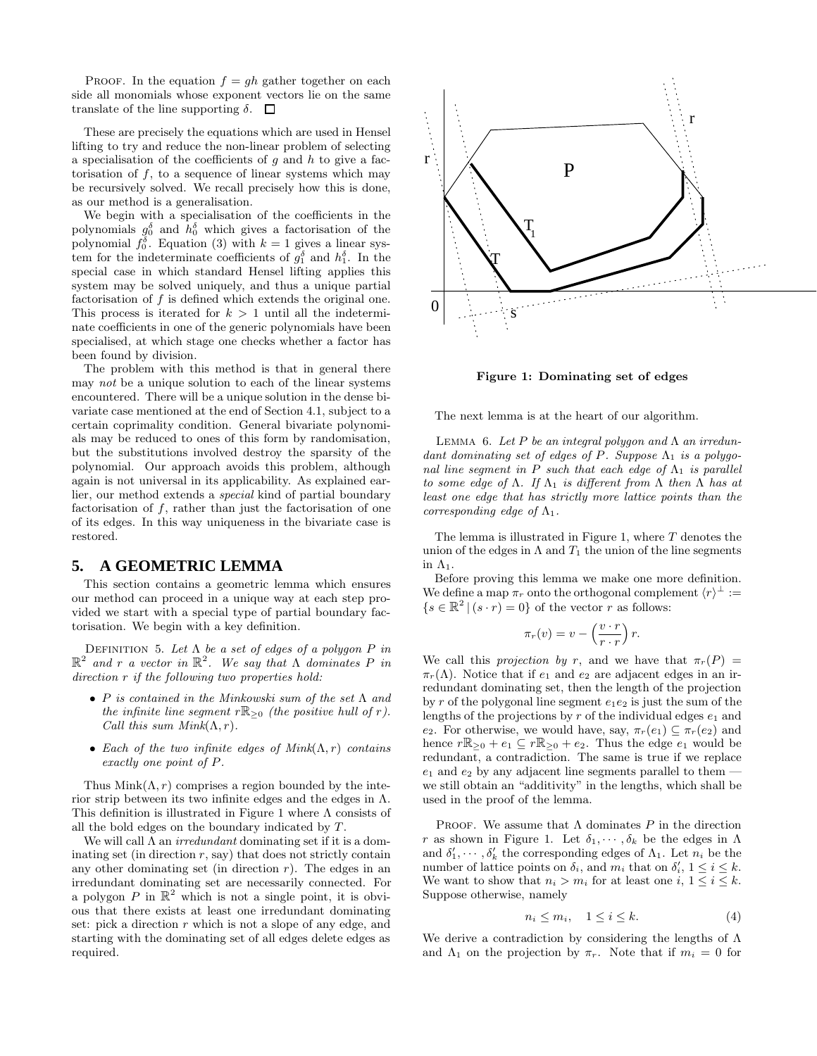PROOF. In the equation  $f = gh$  gather together on each side all monomials whose exponent vectors lie on the same translate of the line supporting  $\delta$ .  $\Box$ 

These are precisely the equations which are used in Hensel lifting to try and reduce the non-linear problem of selecting a specialisation of the coefficients of  $g$  and  $h$  to give a factorisation of  $f$ , to a sequence of linear systems which may be recursively solved. We recall precisely how this is done, as our method is a generalisation.

We begin with a specialisation of the coefficients in the polynomials  $g_0^{\delta}$  and  $h_0^{\delta}$  which gives a factorisation of the polynomial  $f_0^{\delta}$ . Equation (3) with  $k = 1$  gives a linear system for the indeterminate coefficients of  $g_1^{\delta}$  and  $h_1^{\delta}$ . In the special case in which standard Hensel lifting applies this system may be solved uniquely, and thus a unique partial factorisation of f is defined which extends the original one. This process is iterated for  $k > 1$  until all the indeterminate coefficients in one of the generic polynomials have been specialised, at which stage one checks whether a factor has been found by division.

The problem with this method is that in general there may not be a unique solution to each of the linear systems encountered. There will be a unique solution in the dense bivariate case mentioned at the end of Section 4.1, subject to a certain coprimality condition. General bivariate polynomials may be reduced to ones of this form by randomisation, but the substitutions involved destroy the sparsity of the polynomial. Our approach avoids this problem, although again is not universal in its applicability. As explained earlier, our method extends a special kind of partial boundary factorisation of  $f$ , rather than just the factorisation of one of its edges. In this way uniqueness in the bivariate case is restored.

#### **5. A GEOMETRIC LEMMA**

This section contains a geometric lemma which ensures our method can proceed in a unique way at each step provided we start with a special type of partial boundary factorisation. We begin with a key definition.

DEFINITION 5. Let  $\Lambda$  be a set of edges of a polygon P in  $\mathbb{R}^2$  and r a vector in  $\mathbb{R}^2$ . We say that  $\Lambda$  dominates P in direction  $r$  if the following two properties hold:

- P is contained in the Minkowski sum of the set  $\Lambda$  and the infinite line segment  $r\mathbb{R}_{\geq 0}$  (the positive hull of r). Call this sum  $Mink(\Lambda, r)$ .
- Each of the two infinite edges of  $Mink(\Lambda, r)$  contains exactly one point of P.

Thus  $Mink(\Lambda, r)$  comprises a region bounded by the interior strip between its two infinite edges and the edges in  $\Lambda$ . This definition is illustrated in Figure 1 where Λ consists of all the bold edges on the boundary indicated by T.

We will call  $\Lambda$  an *irredundant* dominating set if it is a dominating set (in direction  $r$ , say) that does not strictly contain any other dominating set (in direction  $r$ ). The edges in an irredundant dominating set are necessarily connected. For a polygon P in  $\mathbb{R}^2$  which is not a single point, it is obvious that there exists at least one irredundant dominating set: pick a direction r which is not a slope of any edge, and starting with the dominating set of all edges delete edges as required.



**Figure 1: Dominating set of edges**

The next lemma is at the heart of our algorithm.

LEMMA 6. Let  $P$  be an integral polygon and  $\Lambda$  an irredundant dominating set of edges of P. Suppose  $\Lambda_1$  is a polygonal line segment in P such that each edge of  $\Lambda_1$  is parallel to some edge of  $\Lambda$ . If  $\Lambda_1$  is different from  $\Lambda$  then  $\Lambda$  has at least one edge that has strictly more lattice points than the corresponding edge of  $\Lambda_1$ .

The lemma is illustrated in Figure 1, where  $T$  denotes the union of the edges in  $\Lambda$  and  $T_1$  the union of the line segments in  $\Lambda_1$ .

Before proving this lemma we make one more definition. We define a map  $\pi_r$  onto the orthogonal complement  $\langle r \rangle^{\perp} :=$  $\{s \in \mathbb{R}^2 \mid (s \cdot r) = 0\}$  of the vector r as follows:

$$
\pi_r(v) = v - \left(\frac{v \cdot r}{r \cdot r}\right) r.
$$

We call this projection by r, and we have that  $\pi_r(P)$  =  $\pi_r(\Lambda)$ . Notice that if  $e_1$  and  $e_2$  are adjacent edges in an irredundant dominating set, then the length of the projection by r of the polygonal line segment  $e_1e_2$  is just the sum of the lengths of the projections by  $r$  of the individual edges  $e_1$  and e<sub>2</sub>. For otherwise, we would have, say,  $\pi_r(e_1) \subseteq \pi_r(e_2)$  and hence  $r\mathbb{R}_{\geq 0} + e_1 \subseteq r\mathbb{R}_{\geq 0} + e_2$ . Thus the edge  $e_1$  would be redundant, a contradiction. The same is true if we replace  $e_1$  and  $e_2$  by any adjacent line segments parallel to them  $\overline{\phantom{a}}$ we still obtain an "additivity" in the lengths, which shall be used in the proof of the lemma.

PROOF. We assume that  $\Lambda$  dominates P in the direction r as shown in Figure 1. Let  $\delta_1, \dots, \delta_k$  be the edges in  $\Lambda$ and  $\delta'_1, \cdots, \delta'_k$  the corresponding edges of  $\Lambda_1$ . Let  $n_i$  be the number of lattice points on  $\delta_i$ , and  $m_i$  that on  $\delta'_i$ ,  $1 \leq i \leq k$ . We want to show that  $n_i > m_i$  for at least one  $i, 1 \leq i \leq k$ . Suppose otherwise, namely

$$
n_i \le m_i, \quad 1 \le i \le k. \tag{4}
$$

We derive a contradiction by considering the lengths of  $\Lambda$ and  $\Lambda_1$  on the projection by  $\pi_r$ . Note that if  $m_i = 0$  for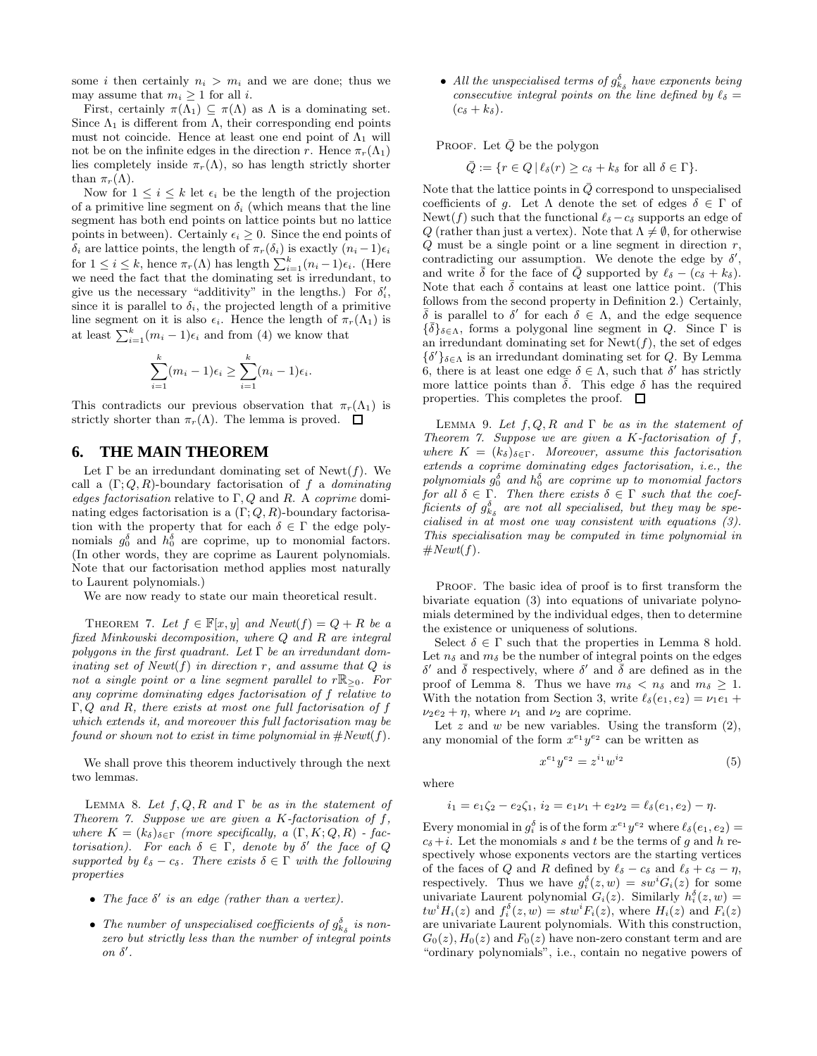some i then certainly  $n_i > m_i$  and we are done; thus we may assume that  $m_i \geq 1$  for all *i*.

First, certainly  $\pi(\Lambda_1) \subseteq \pi(\Lambda)$  as  $\Lambda$  is a dominating set. Since  $\Lambda_1$  is different from  $\Lambda$ , their corresponding end points must not coincide. Hence at least one end point of  $\Lambda_1$  will not be on the infinite edges in the direction r. Hence  $\pi_r(\Lambda_1)$ lies completely inside  $\pi_r(\Lambda)$ , so has length strictly shorter than  $\pi_r(\Lambda)$ .

Now for  $1 \leq i \leq k$  let  $\epsilon_i$  be the length of the projection of a primitive line segment on  $\delta_i$  (which means that the line segment has both end points on lattice points but no lattice points in between). Certainly  $\epsilon_i \geq 0$ . Since the end points of  $\delta_i$  are lattice points, the length of  $\pi_r(\delta_i)$  is exactly  $(n_i - 1)\epsilon_i$ for  $1 \leq i \leq k$ , hence  $\pi_r(\Lambda)$  has length  $\sum_{i=1}^k (n_i - 1)\epsilon_i$ . (Here we need the fact that the dominating set is irredundant, to give us the necessary "additivity" in the lengths.) For  $\delta_i'$ , since it is parallel to  $\delta_i$ , the projected length of a primitive line segment on it is also  $\epsilon_i$ . Hence the length of  $\pi_r(\Lambda_1)$  is at least  $\sum_{i=1}^{k} (m_i - 1)\epsilon_i$  and from (4) we know that

$$
\sum_{i=1}^k (m_i - 1)\epsilon_i \ge \sum_{i=1}^k (n_i - 1)\epsilon_i.
$$

This contradicts our previous observation that  $\pi_r(\Lambda_1)$  is strictly shorter than  $\pi_r(\Lambda)$ . The lemma is proved.  $\Box$ 

#### **6. THE MAIN THEOREM**

Let  $\Gamma$  be an irredundant dominating set of Newt(f). We call a  $(\Gamma; Q, R)$ -boundary factorisation of f a *dominating* edges factorisation relative to  $\Gamma, Q$  and R. A coprime dominating edges factorisation is a  $(\Gamma; Q, R)$ -boundary factorisation with the property that for each  $\delta \in \Gamma$  the edge polynomials  $g_0^{\delta}$  and  $h_0^{\delta}$  are coprime, up to monomial factors. (In other words, they are coprime as Laurent polynomials. Note that our factorisation method applies most naturally to Laurent polynomials.)

We are now ready to state our main theoretical result.

THEOREM 7. Let  $f \in \mathbb{F}[x, y]$  and  $Newt(f) = Q + R$  be a fixed Minkowski decomposition, where Q and R are integral polygons in the first quadrant. Let  $\Gamma$  be an irredundant dominating set of  $Newt(f)$  in direction r, and assume that  $Q$  is not a single point or a line segment parallel to  $r \mathbb{R}_{\geq 0}$ . For any coprime dominating edges factorisation of f relative to Γ, Q and R, there exists at most one full factorisation of f which extends it, and moreover this full factorisation may be found or shown not to exist in time polynomial in  $\#Newt(f)$ .

We shall prove this theorem inductively through the next two lemmas.

LEMMA 8. Let  $f, Q, R$  and  $\Gamma$  be as in the statement of Theorem 7. Suppose we are given a K-factorisation of  $f$ , where  $K = (k_{\delta})_{\delta \in \Gamma}$  (more specifically, a  $(\Gamma, K; Q, R)$  - factorisation). For each  $\delta \in \Gamma$ , denote by  $\delta'$  the face of Q supported by  $\ell_{\delta} - c_{\delta}$ . There exists  $\delta \in \Gamma$  with the following properties

- The face  $\delta'$  is an edge (rather than a vertex).
- The number of unspecialised coefficients of  $g_{k_{\delta}}^{\delta}$  is nonzero but strictly less than the number of integral points  $\mathfrak{o}n \mathfrak{\delta}^{\prime}$ .

• All the unspecialised terms of  $g_{k_{\delta}}^{\delta}$  have exponents being consecutive integral points on the line defined by  $\ell_{\delta} =$  $(c_{\delta} + k_{\delta}).$ 

PROOF. Let  $\overline{Q}$  be the polygon

$$
\overline{Q} := \{ r \in Q \, | \, \ell_{\delta}(r) \ge c_{\delta} + k_{\delta} \text{ for all } \delta \in \Gamma \}.
$$

Note that the lattice points in  $\overline{Q}$  correspond to unspecialised coefficients of g. Let  $\Lambda$  denote the set of edges  $\delta \in \Gamma$  of Newt(f) such that the functional  $\ell_{\delta} - c_{\delta}$  supports an edge of Q (rather than just a vertex). Note that  $\Lambda \neq \emptyset$ , for otherwise  $Q$  must be a single point or a line segment in direction  $r$ , contradicting our assumption. We denote the edge by  $\delta'$ , and write  $\bar{\delta}$  for the face of  $\bar{Q}$  supported by  $\ell_{\delta} - (c_{\delta} + k_{\delta}).$ Note that each  $\bar{\delta}$  contains at least one lattice point. (This follows from the second property in Definition 2.) Certainly,  $\overline{\delta}$  is parallel to  $\delta'$  for each  $\delta \in \Lambda$ , and the edge sequence  ${\{\bar{\delta}\}}_{\delta\in\Lambda}$ , forms a polygonal line segment in Q. Since  $\Gamma$  is an irredundant dominating set for  $\text{Newt}(f)$ , the set of edges  $\{\delta'\}_{\delta \in \Lambda}$  is an irredundant dominating set for Q. By Lemma 6, there is at least one edge  $\delta \in \Lambda$ , such that  $\delta'$  has strictly more lattice points than  $\bar{\delta}$ . This edge  $\delta$  has the required properties. This completes the proof.  $\Box$ 

LEMMA 9. Let  $f, Q, R$  and  $\Gamma$  be as in the statement of Theorem 7. Suppose we are given a K-factorisation of  $f$ , where  $K = (k_{\delta})_{\delta \in \Gamma}$ . Moreover, assume this factorisation extends a coprime dominating edges factorisation, i.e., the polynomials  $g_0^{\delta}$  and  $h_0^{\delta}$  are coprime up to monomial factors for all  $\delta \in \Gamma$ . Then there exists  $\delta \in \Gamma$  such that the coefficients of  $g_{k_{\delta}}^{\delta}$  are not all specialised, but they may be specialised in at most one way consistent with equations (3). This specialisation may be computed in time polynomial in  $#Newt(f).$ 

PROOF. The basic idea of proof is to first transform the bivariate equation (3) into equations of univariate polynomials determined by the individual edges, then to determine the existence or uniqueness of solutions.

Select  $\delta \in \Gamma$  such that the properties in Lemma 8 hold. Let  $n_{\delta}$  and  $m_{\delta}$  be the number of integral points on the edges  $\delta'$  and  $\bar{\delta}$  respectively, where  $\delta'$  and  $\bar{\delta}$  are defined as in the proof of Lemma 8. Thus we have  $m_{\delta} < n_{\delta}$  and  $m_{\delta} \geq 1$ . With the notation from Section 3, write  $\ell_{\delta}(e_1, e_2) = \nu_1 e_1 + \nu_2 e_2$  $\nu_2e_2 + \eta$ , where  $\nu_1$  and  $\nu_2$  are coprime.

Let  $z$  and  $w$  be new variables. Using the transform  $(2)$ , any monomial of the form  $x^{e_1}y^{e_2}$  can be written as

$$
x^{e_1}y^{e_2} = z^{i_1}w^{i_2} \tag{5}
$$

where

$$
i_1 = e_1 \zeta_2 - e_2 \zeta_1, \, i_2 = e_1 \nu_1 + e_2 \nu_2 = \ell_{\delta}(e_1, e_2) - \eta.
$$

Every monomial in  $g_i^{\delta}$  is of the form  $x^{e_1}y^{e_2}$  where  $\ell_{\delta}(e_1, e_2)$  =  $c_{\delta} + i$ . Let the monomials s and t be the terms of q and h respectively whose exponents vectors are the starting vertices of the faces of Q and R defined by  $\ell_{\delta} - c_{\delta}$  and  $\ell_{\delta} + c_{\delta} - \eta$ , respectively. Thus we have  $g_i^{\delta}(z, w) = sw^i G_i(z)$  for some univariate Laurent polynomial  $G_i(z)$ . Similarly  $h_i^{\delta}(z, w) =$  $tw<sup>i</sup>H<sub>i</sub>(z)$  and  $f<sub>i</sub><sup>δ</sup>(z, w) = stw<sup>i</sup>F<sub>i</sub>(z)$ , where  $H<sub>i</sub>(z)$  and  $F<sub>i</sub>(z)$ are univariate Laurent polynomials. With this construction,  $G_0(z)$ ,  $H_0(z)$  and  $F_0(z)$  have non-zero constant term and are "ordinary polynomials", i.e., contain no negative powers of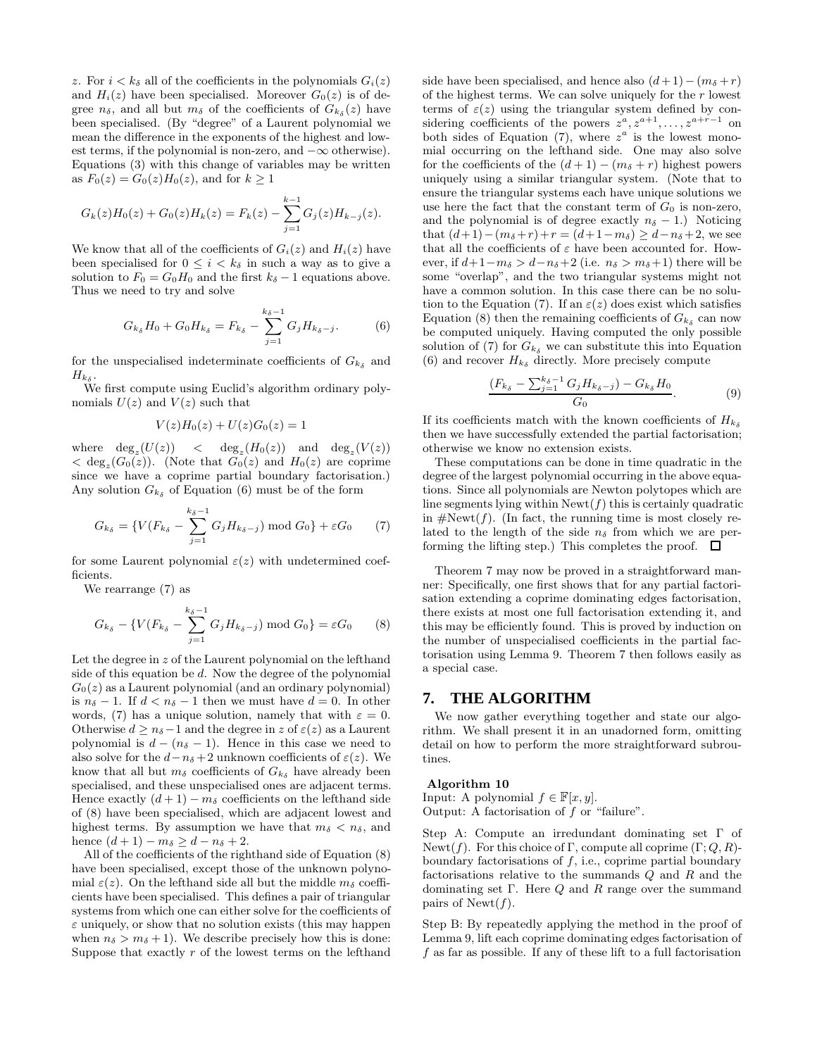z. For  $i < k_{\delta}$  all of the coefficients in the polynomials  $G_i(z)$ and  $H_i(z)$  have been specialised. Moreover  $G_0(z)$  is of degree  $n_{\delta}$ , and all but  $m_{\delta}$  of the coefficients of  $G_{k_{\delta}}(z)$  have been specialised. (By "degree" of a Laurent polynomial we mean the difference in the exponents of the highest and lowest terms, if the polynomial is non-zero, and  $-\infty$  otherwise). Equations (3) with this change of variables may be written as  $F_0(z) = G_0(z)H_0(z)$ , and for  $k \ge 1$ 

$$
G_k(z)H_0(z) + G_0(z)H_k(z) = F_k(z) - \sum_{j=1}^{k-1} G_j(z)H_{k-j}(z).
$$

We know that all of the coefficients of  $G_i(z)$  and  $H_i(z)$  have been specialised for  $0 \leq i \leq k_{\delta}$  in such a way as to give a solution to  $F_0 = G_0 H_0$  and the first  $k_{\delta} - 1$  equations above. Thus we need to try and solve

$$
G_{k_{\delta}}H_0 + G_0H_{k_{\delta}} = F_{k_{\delta}} - \sum_{j=1}^{k_{\delta}-1} G_jH_{k_{\delta}-j}.
$$
 (6)

for the unspecialised indeterminate coefficients of  $G_{k\delta}$  and  $H_{k_\delta}$ .

We first compute using Euclid's algorithm ordinary polynomials  $U(z)$  and  $V(z)$  such that

$$
V(z)H_0(z) + U(z)G_0(z) = 1
$$

where  $\deg_z(U(z)) < \deg_z(H_0(z))$  and  $\deg_z(V(z))$  $\langle \deg_z(G_0(z)) \rangle$ . (Note that  $G_0(z)$  and  $H_0(z)$  are coprime since we have a coprime partial boundary factorisation.) Any solution  $G_{k_{\delta}}$  of Equation (6) must be of the form

$$
G_{k_{\delta}} = \{ V(F_{k_{\delta}} - \sum_{j=1}^{k_{\delta}-1} G_j H_{k_{\delta}-j}) \bmod G_0 \} + \varepsilon G_0 \tag{7}
$$

for some Laurent polynomial  $\varepsilon(z)$  with undetermined coefficients.

We rearrange (7) as

$$
G_{k_{\delta}} - \{ V(F_{k_{\delta}} - \sum_{j=1}^{k_{\delta}-1} G_j H_{k_{\delta}-j}) \bmod G_0 \} = \varepsilon G_0 \tag{8}
$$

Let the degree in  $z$  of the Laurent polynomial on the lefthand side of this equation be d. Now the degree of the polynomial  $G<sub>0</sub>(z)$  as a Laurent polynomial (and an ordinary polynomial) is  $n_{\delta} - 1$ . If  $d < n_{\delta} - 1$  then we must have  $d = 0$ . In other words, (7) has a unique solution, namely that with  $\varepsilon = 0$ . Otherwise  $d > n_{\delta}-1$  and the degree in z of  $\varepsilon(z)$  as a Laurent polynomial is  $d - (n_{\delta} - 1)$ . Hence in this case we need to also solve for the  $d-n_\delta+2$  unknown coefficients of  $\varepsilon(z)$ . We know that all but  $m_{\delta}$  coefficients of  $G_{k_{\delta}}$  have already been specialised, and these unspecialised ones are adjacent terms. Hence exactly  $(d+1) - m_{\delta}$  coefficients on the lefthand side of (8) have been specialised, which are adjacent lowest and highest terms. By assumption we have that  $m_{\delta} < n_{\delta}$ , and hence  $(d+1) - m_{\delta} > d - n_{\delta} + 2$ .

All of the coefficients of the righthand side of Equation (8) have been specialised, except those of the unknown polynomial  $\varepsilon(z)$ . On the lefthand side all but the middle  $m_{\delta}$  coefficients have been specialised. This defines a pair of triangular systems from which one can either solve for the coefficients of  $\varepsilon$  uniquely, or show that no solution exists (this may happen when  $n_{\delta} > m_{\delta} + 1$ ). We describe precisely how this is done: Suppose that exactly  $r$  of the lowest terms on the lefthand side have been specialised, and hence also  $(d+1)-(m<sub>\delta</sub>+r)$ of the highest terms. We can solve uniquely for the  $r$  lowest terms of  $\varepsilon(z)$  using the triangular system defined by considering coefficients of the powers  $z^a, z^{a+1}, \ldots, z^{a+r-1}$  on both sides of Equation (7), where  $z^a$  is the lowest monomial occurring on the lefthand side. One may also solve for the coefficients of the  $(d+1) - (m<sub>δ</sub> + r)$  highest powers uniquely using a similar triangular system. (Note that to ensure the triangular systems each have unique solutions we use here the fact that the constant term of  $G_0$  is non-zero, and the polynomial is of degree exactly  $n_{\delta} - 1$ .) Noticing that  $(d+1)-(m_{\delta}+r)+r = (d+1-m_{\delta}) \geq d-n_{\delta}+2$ , we see that all the coefficients of  $\varepsilon$  have been accounted for. However, if  $d+1-m_\delta > d-n_\delta+2$  (i.e.  $n_\delta > m_\delta+1$ ) there will be some "overlap", and the two triangular systems might not have a common solution. In this case there can be no solution to the Equation (7). If an  $\varepsilon(z)$  does exist which satisfies Equation (8) then the remaining coefficients of  $G_{k_{\delta}}$  can now be computed uniquely. Having computed the only possible solution of (7) for  $G_{k_{\delta}}$  we can substitute this into Equation (6) and recover  $H_{k_{\delta}}$  directly. More precisely compute

$$
\frac{(F_{k_{\delta}} - \sum_{j=1}^{k_{\delta}-1} G_j H_{k_{\delta}-j}) - G_{k_{\delta}} H_0}{G_0}.
$$
 (9)

If its coefficients match with the known coefficients of  $H_{k_{\delta}}$ then we have successfully extended the partial factorisation; otherwise we know no extension exists.

These computations can be done in time quadratic in the degree of the largest polynomial occurring in the above equations. Since all polynomials are Newton polytopes which are line segments lying within  $\text{Newt}(f)$  this is certainly quadratic in  $\#Newt(f)$ . (In fact, the running time is most closely related to the length of the side  $n_{\delta}$  from which we are performing the lifting step.) This completes the proof.  $\Box$ 

Theorem 7 may now be proved in a straightforward manner: Specifically, one first shows that for any partial factorisation extending a coprime dominating edges factorisation, there exists at most one full factorisation extending it, and this may be efficiently found. This is proved by induction on the number of unspecialised coefficients in the partial factorisation using Lemma 9. Theorem 7 then follows easily as a special case.

#### **7. THE ALGORITHM**

We now gather everything together and state our algorithm. We shall present it in an unadorned form, omitting detail on how to perform the more straightforward subroutines.

#### **Algorithm 10**

Input: A polynomial  $f \in \mathbb{F}[x, y]$ . Output: A factorisation of  $f$  or "failure".

Step A: Compute an irredundant dominating set Γ of Newt(f). For this choice of Γ, compute all coprime  $(\Gamma; Q, R)$ boundary factorisations of  $f$ , i.e., coprime partial boundary factorisations relative to the summands Q and R and the dominating set Γ. Here  $Q$  and  $R$  range over the summand pairs of Newt $(f)$ .

Step B: By repeatedly applying the method in the proof of Lemma 9, lift each coprime dominating edges factorisation of  $f$  as far as possible. If any of these lift to a full factorisation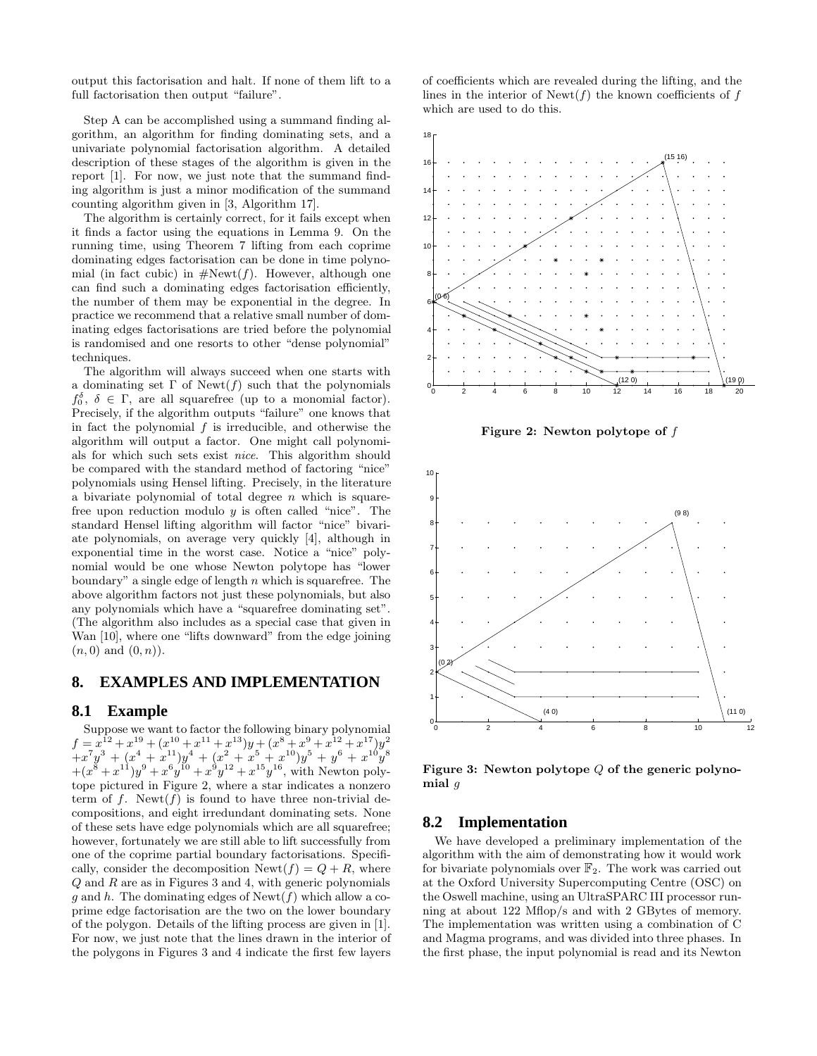output this factorisation and halt. If none of them lift to a full factorisation then output "failure".

Step A can be accomplished using a summand finding algorithm, an algorithm for finding dominating sets, and a univariate polynomial factorisation algorithm. A detailed description of these stages of the algorithm is given in the report [1]. For now, we just note that the summand finding algorithm is just a minor modification of the summand counting algorithm given in [3, Algorithm 17].

The algorithm is certainly correct, for it fails except when it finds a factor using the equations in Lemma 9. On the running time, using Theorem 7 lifting from each coprime dominating edges factorisation can be done in time polynomial (in fact cubic) in  $\#Newt(f)$ . However, although one can find such a dominating edges factorisation efficiently, the number of them may be exponential in the degree. In practice we recommend that a relative small number of dominating edges factorisations are tried before the polynomial is randomised and one resorts to other "dense polynomial" techniques.

The algorithm will always succeed when one starts with a dominating set  $\Gamma$  of Newt(f) such that the polynomials  $f_0^{\delta}, \delta \in \Gamma$ , are all squarefree (up to a monomial factor). Precisely, if the algorithm outputs "failure" one knows that in fact the polynomial  $f$  is irreducible, and otherwise the algorithm will output a factor. One might call polynomials for which such sets exist nice. This algorithm should be compared with the standard method of factoring "nice" polynomials using Hensel lifting. Precisely, in the literature a bivariate polynomial of total degree  $n$  which is squarefree upon reduction modulo  $y$  is often called "nice". The standard Hensel lifting algorithm will factor "nice" bivariate polynomials, on average very quickly [4], although in exponential time in the worst case. Notice a "nice" polynomial would be one whose Newton polytope has "lower boundary" a single edge of length  $n$  which is squarefree. The above algorithm factors not just these polynomials, but also any polynomials which have a "squarefree dominating set". (The algorithm also includes as a special case that given in Wan [10], where one "lifts downward" from the edge joining  $(n, 0)$  and  $(0, n)$ .

## **8. EXAMPLES AND IMPLEMENTATION**

#### **8.1 Example**

Suppose we want to factor the following binary polynomial  $f = x^{12} + x^{19} + (x^{10} + x^{11} + x^{13})y + (x^8 + x^9 + x^{12} + x^{17})y^2$  $+x^7y^3+(x^4+x^{11})y^4+(x^2+x^5+x^{10})y^5+y^6+x^{10}y^8$  $+(x^{8}+x^{11})y^{9}+x^{6}y^{10}+x^{9}y^{12}+x^{15}y^{16}$ , with Newton polytope pictured in Figure 2, where a star indicates a nonzero term of f. Newt(f) is found to have three non-trivial decompositions, and eight irredundant dominating sets. None of these sets have edge polynomials which are all squarefree; however, fortunately we are still able to lift successfully from one of the coprime partial boundary factorisations. Specifically, consider the decomposition  $\text{Newt}(f) = Q + R$ , where  $Q$  and  $R$  are as in Figures 3 and 4, with generic polynomials g and h. The dominating edges of  $\text{Newt}(f)$  which allow a coprime edge factorisation are the two on the lower boundary of the polygon. Details of the lifting process are given in [1]. For now, we just note that the lines drawn in the interior of the polygons in Figures 3 and 4 indicate the first few layers

of coefficients which are revealed during the lifting, and the lines in the interior of  $\text{Newt}(f)$  the known coefficients of f which are used to do this.



**Figure 2: Newton polytope of** f



**Figure 3: Newton polytope** Q **of the generic polynomial** g

#### **8.2 Implementation**

We have developed a preliminary implementation of the algorithm with the aim of demonstrating how it would work for bivariate polynomials over  $\mathbb{F}_2$ . The work was carried out at the Oxford University Supercomputing Centre (OSC) on the Oswell machine, using an UltraSPARC III processor running at about 122 Mflop/s and with 2 GBytes of memory. The implementation was written using a combination of C and Magma programs, and was divided into three phases. In the first phase, the input polynomial is read and its Newton